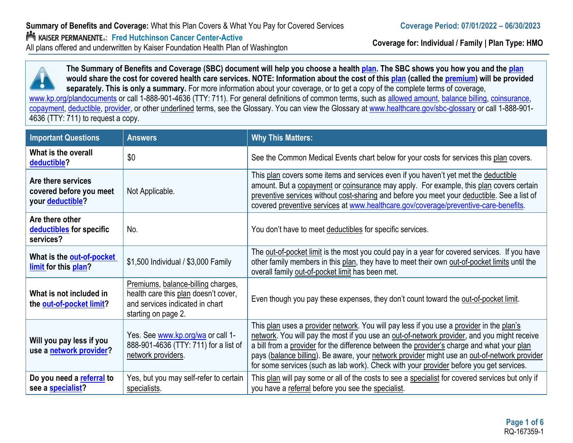**Coverage for: Individual / Family | Plan Type: HMO**



**The Summary of Benefits and Coverage (SBC) document will help you choose a health [plan.](https://www.healthcare.gov/sbc-glossary/#plan) The SBC shows you how you and the [plan](https://www.healthcare.gov/sbc-glossary/#plan) would share the cost for covered health care services. NOTE: Information about the cost of this [plan](https://www.healthcare.gov/sbc-glossary/#plan) (called the [premium\) w](https://www.healthcare.gov/sbc-glossary/#premium)ill be provided separately. This is only a summary.** For more information about your coverage, or to get a copy of the complete terms of coverage, [www.kp.org/plandocuments](http://www.kp.org/plandocuments) or call 1-888-901-4636 (TTY: 711). For general definitions of common terms, such as [allowed amount,](https://www.healthcare.gov/sbc-glossary/#allowed-amount) [balance billing,](https://www.healthcare.gov/sbc-glossary/#balance-billing) [coinsurance,](https://www.healthcare.gov/sbc-glossary/#coinsurance) [copayment,](https://www.healthcare.gov/sbc-glossary/#copayment) [deductible,](https://www.healthcare.gov/sbc-glossary/#deductible) [provider,](https://www.healthcare.gov/sbc-glossary/#provider) or other underlined terms, see the Glossary. You can view the Glossary at [www.healthcare.gov/sbc-glossary](http://www.healthcare.gov/sbc-glossary) or call 1-888-901- 4636 (TTY: 711) to request a copy.

| <b>Important Questions</b>                                        | <b>Answers</b>                                                                                                                       | <b>Why This Matters:</b>                                                                                                                                                                                                                                                                                                                                                                                                                                                         |
|-------------------------------------------------------------------|--------------------------------------------------------------------------------------------------------------------------------------|----------------------------------------------------------------------------------------------------------------------------------------------------------------------------------------------------------------------------------------------------------------------------------------------------------------------------------------------------------------------------------------------------------------------------------------------------------------------------------|
| What is the overall<br>deductible?                                | \$0                                                                                                                                  | See the Common Medical Events chart below for your costs for services this plan covers.                                                                                                                                                                                                                                                                                                                                                                                          |
| Are there services<br>covered before you meet<br>your deductible? | Not Applicable.                                                                                                                      | This plan covers some items and services even if you haven't yet met the deductible<br>amount. But a copayment or coinsurance may apply. For example, this plan covers certain<br>preventive services without cost-sharing and before you meet your deductible. See a list of<br>covered preventive services at www.healthcare.gov/coverage/preventive-care-benefits.                                                                                                            |
| Are there other<br>deductibles for specific<br>services?          | No.                                                                                                                                  | You don't have to meet deductibles for specific services.                                                                                                                                                                                                                                                                                                                                                                                                                        |
| What is the out-of-pocket<br>limit for this plan?                 | \$1,500 Individual / \$3,000 Family                                                                                                  | The out-of-pocket limit is the most you could pay in a year for covered services. If you have<br>other family members in this plan, they have to meet their own out-of-pocket limits until the<br>overall family out-of-pocket limit has been met.                                                                                                                                                                                                                               |
| What is not included in<br>the out-of-pocket limit?               | Premiums, balance-billing charges,<br>health care this plan doesn't cover,<br>and services indicated in chart<br>starting on page 2. | Even though you pay these expenses, they don't count toward the out-of-pocket limit.                                                                                                                                                                                                                                                                                                                                                                                             |
| Will you pay less if you<br>use a network provider?               | Yes. See www.kp.org/wa or call 1-<br>888-901-4636 (TTY: 711) for a list of<br>network providers.                                     | This plan uses a provider network. You will pay less if you use a provider in the plan's<br>network. You will pay the most if you use an out-of-network provider, and you might receive<br>a bill from a provider for the difference between the provider's charge and what your plan<br>pays (balance billing). Be aware, your network provider might use an out-of-network provider<br>for some services (such as lab work). Check with your provider before you get services. |
| Do you need a referral to<br>see a specialist?                    | Yes, but you may self-refer to certain<br>specialists.                                                                               | This plan will pay some or all of the costs to see a specialist for covered services but only if<br>you have a referral before you see the specialist.                                                                                                                                                                                                                                                                                                                           |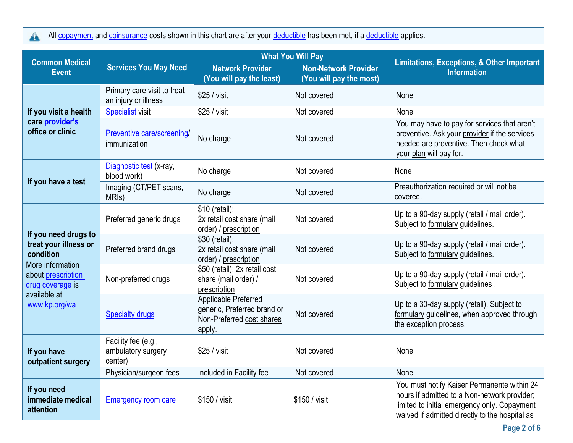All copayment [and co](https://www.healthcare.gov/sbc-glossary/#copayment)ins[urance](https://www.healthcare.gov/sbc-glossary/#coinsurance) costs shown in this chart are after your deductible [has be](https://www.healthcare.gov/sbc-glossary/#deductible)en met, if a deductible [applie](https://www.healthcare.gov/sbc-glossary/#deductible)s.

| <b>Common Medical</b>                                                                                                                                     |                                                      | <b>What You Will Pay</b>                                                                   |                                                        | <b>Limitations, Exceptions, &amp; Other Important</b>                                                                                                                                         |  |
|-----------------------------------------------------------------------------------------------------------------------------------------------------------|------------------------------------------------------|--------------------------------------------------------------------------------------------|--------------------------------------------------------|-----------------------------------------------------------------------------------------------------------------------------------------------------------------------------------------------|--|
| <b>Event</b>                                                                                                                                              | <b>Services You May Need</b>                         | <b>Network Provider</b><br>(You will pay the least)                                        | <b>Non-Network Provider</b><br>(You will pay the most) | <b>Information</b>                                                                                                                                                                            |  |
|                                                                                                                                                           | Primary care visit to treat<br>an injury or illness  | \$25 / visit                                                                               | Not covered                                            | None                                                                                                                                                                                          |  |
| If you visit a health                                                                                                                                     | <b>Specialist visit</b>                              | \$25 / visit                                                                               | Not covered                                            | None                                                                                                                                                                                          |  |
| care provider's<br>office or clinic                                                                                                                       | Preventive care/screening/<br>immunization           | No charge                                                                                  | Not covered                                            | You may have to pay for services that aren't<br>preventive. Ask your provider if the services<br>needed are preventive. Then check what<br>your plan will pay for.                            |  |
|                                                                                                                                                           | Diagnostic test (x-ray,<br>blood work)               | No charge                                                                                  | Not covered                                            | None                                                                                                                                                                                          |  |
| If you have a test                                                                                                                                        | Imaging (CT/PET scans,<br>MRI <sub>s</sub> )         | No charge                                                                                  | Not covered                                            | Preauthorization required or will not be<br>covered.                                                                                                                                          |  |
| If you need drugs to<br>treat your illness or<br>condition<br>More information<br>about prescription<br>drug coverage is<br>available at<br>www.kp.org/wa | Preferred generic drugs                              | \$10 (retail);<br>2x retail cost share (mail<br>order) / prescription                      | Not covered                                            | Up to a 90-day supply (retail / mail order).<br>Subject to formulary guidelines.                                                                                                              |  |
|                                                                                                                                                           | Preferred brand drugs                                | \$30 (retail);<br>2x retail cost share (mail<br>order) / prescription                      | Not covered                                            | Up to a 90-day supply (retail / mail order).<br>Subject to formulary guidelines.                                                                                                              |  |
|                                                                                                                                                           | Non-preferred drugs                                  | \$50 (retail); 2x retail cost<br>share (mail order) /<br>prescription                      | Not covered                                            | Up to a 90-day supply (retail / mail order).<br>Subject to formulary guidelines.                                                                                                              |  |
|                                                                                                                                                           | <b>Specialty drugs</b>                               | Applicable Preferred<br>generic, Preferred brand or<br>Non-Preferred cost shares<br>apply. | Not covered                                            | Up to a 30-day supply (retail). Subject to<br>formulary guidelines, when approved through<br>the exception process.                                                                           |  |
| If you have<br>outpatient surgery                                                                                                                         | Facility fee (e.g.,<br>ambulatory surgery<br>center) | \$25 / <i>visit</i>                                                                        | Not covered                                            | None                                                                                                                                                                                          |  |
|                                                                                                                                                           | Physician/surgeon fees                               | Included in Facility fee                                                                   | Not covered                                            | None                                                                                                                                                                                          |  |
| If you need<br>immediate medical<br>attention                                                                                                             | <b>Emergency room care</b>                           | \$150 / visit                                                                              | \$150 / visit                                          | You must notify Kaiser Permanente within 24<br>hours if admitted to a Non-network provider;<br>limited to initial emergency only. Copayment<br>waived if admitted directly to the hospital as |  |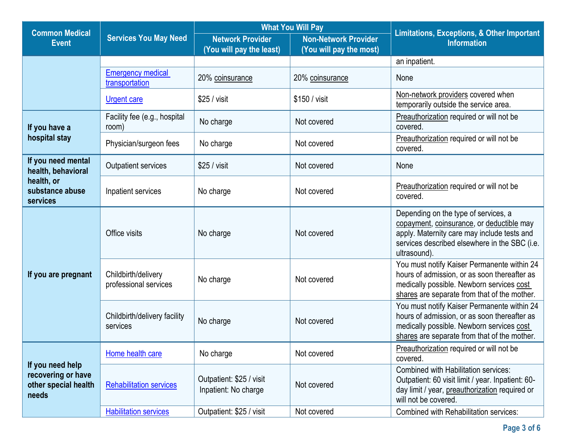| <b>Common Medical</b>                                                   |                                              | <b>What You Will Pay</b>                            |                                                 | <b>Limitations, Exceptions, &amp; Other Important</b>                                                                                                                                             |  |
|-------------------------------------------------------------------------|----------------------------------------------|-----------------------------------------------------|-------------------------------------------------|---------------------------------------------------------------------------------------------------------------------------------------------------------------------------------------------------|--|
| <b>Event</b>                                                            | <b>Services You May Need</b>                 | <b>Network Provider</b><br>(You will pay the least) | Non-Network Provider<br>(You will pay the most) | <b>Information</b>                                                                                                                                                                                |  |
|                                                                         |                                              |                                                     |                                                 | an inpatient.                                                                                                                                                                                     |  |
|                                                                         | <b>Emergency medical</b><br>transportation   | 20% coinsurance                                     | 20% coinsurance                                 | None                                                                                                                                                                                              |  |
|                                                                         | <b>Urgent care</b>                           | \$25 / <i>visit</i>                                 | \$150 / visit                                   | Non-network providers covered when<br>temporarily outside the service area.                                                                                                                       |  |
| If you have a                                                           | Facility fee (e.g., hospital<br>room)        | No charge                                           | Not covered                                     | Preauthorization required or will not be<br>covered.                                                                                                                                              |  |
| hospital stay                                                           | Physician/surgeon fees                       | No charge                                           | Not covered                                     | Preauthorization required or will not be<br>covered.                                                                                                                                              |  |
| If you need mental<br>health, behavioral                                | Outpatient services                          | \$25 / <i>visit</i>                                 | Not covered                                     | None                                                                                                                                                                                              |  |
| health, or<br>substance abuse<br>services                               | Inpatient services                           | No charge                                           | Not covered                                     | Preauthorization required or will not be<br>covered.                                                                                                                                              |  |
| If you are pregnant                                                     | Office visits                                | No charge                                           | Not covered                                     | Depending on the type of services, a<br>copayment, coinsurance, or deductible may<br>apply. Maternity care may include tests and<br>services described elsewhere in the SBC (i.e.<br>ultrasound). |  |
|                                                                         | Childbirth/delivery<br>professional services | No charge                                           | Not covered                                     | You must notify Kaiser Permanente within 24<br>hours of admission, or as soon thereafter as<br>medically possible. Newborn services cost<br>shares are separate from that of the mother.          |  |
|                                                                         | Childbirth/delivery facility<br>services     | No charge                                           | Not covered                                     | You must notify Kaiser Permanente within 24<br>hours of admission, or as soon thereafter as<br>medically possible. Newborn services cost<br>shares are separate from that of the mother.          |  |
| If you need help<br>recovering or have<br>other special health<br>needs | Home health care                             | No charge                                           | Not covered                                     | Preauthorization required or will not be<br>covered.                                                                                                                                              |  |
|                                                                         | <b>Rehabilitation services</b>               | Outpatient: \$25 / visit<br>Inpatient: No charge    | Not covered                                     | <b>Combined with Habilitation services:</b><br>Outpatient: 60 visit limit / year. Inpatient: 60-<br>day limit / year, preauthorization required or<br>will not be covered.                        |  |
|                                                                         | <b>Habilitation services</b>                 | Outpatient: \$25 / visit                            | Not covered                                     | Combined with Rehabilitation services:                                                                                                                                                            |  |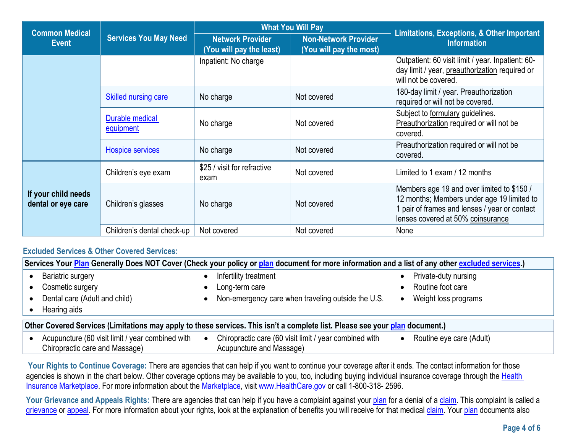| <b>Common Medical</b>                     | <b>Services You May Need</b> | <b>What You Will Pay</b>                            |                                                        | Limitations, Exceptions, & Other Important                                                                                                                                     |
|-------------------------------------------|------------------------------|-----------------------------------------------------|--------------------------------------------------------|--------------------------------------------------------------------------------------------------------------------------------------------------------------------------------|
| Event                                     |                              | <b>Network Provider</b><br>(You will pay the least) | <b>Non-Network Provider</b><br>(You will pay the most) | <b>Information</b>                                                                                                                                                             |
|                                           |                              | Inpatient: No charge                                |                                                        | Outpatient: 60 visit limit / year. Inpatient: 60-<br>day limit / year, preauthorization required or<br>will not be covered.                                                    |
|                                           | <b>Skilled nursing care</b>  | No charge                                           | Not covered                                            | 180-day limit / year. Preauthorization<br>required or will not be covered.                                                                                                     |
|                                           | Durable medical<br>equipment | No charge                                           | Not covered                                            | Subject to formulary guidelines.<br>Preauthorization required or will not be<br>covered.                                                                                       |
|                                           | <b>Hospice services</b>      | No charge                                           | Not covered                                            | Preauthorization required or will not be<br>covered.                                                                                                                           |
|                                           | Children's eye exam          | \$25 / visit for refractive<br>exam                 | Not covered                                            | Limited to 1 exam / 12 months                                                                                                                                                  |
| If your child needs<br>dental or eye care | Children's glasses           | No charge                                           | Not covered                                            | Members age 19 and over limited to \$150 /<br>12 months; Members under age 19 limited to<br>1 pair of frames and lenses / year or contact<br>lenses covered at 50% coinsurance |
|                                           | Children's dental check-up   | Not covered                                         | Not covered                                            | None                                                                                                                                                                           |

# **Excluded Services & Other Covered Services:**

| Services Your Plan Generally Does NOT Cover (Check your policy or plan document for more information and a list of any other excluded services.) |                                                                                                                              |                          |  |
|--------------------------------------------------------------------------------------------------------------------------------------------------|------------------------------------------------------------------------------------------------------------------------------|--------------------------|--|
| <b>Bariatric surgery</b>                                                                                                                         | Infertility treatment                                                                                                        | Private-duty nursing     |  |
| Cosmetic surgery                                                                                                                                 | Long-term care                                                                                                               | Routine foot care        |  |
| Dental care (Adult and child)                                                                                                                    | Non-emergency care when traveling outside the U.S.<br>$\bullet$                                                              | Weight loss programs     |  |
| Hearing aids                                                                                                                                     |                                                                                                                              |                          |  |
|                                                                                                                                                  | Other Covered Services (Limitations may apply to these services. This isn't a complete list. Please see your plan document.) |                          |  |
| Acupuncture (60 visit limit / year combined with<br>Chiropractic care and Massage)                                                               | Chiropractic care (60 visit limit / year combined with<br>$\bullet$<br>Acupuncture and Massage)                              | Routine eye care (Adult) |  |

Your Rights to Continue Coverage: There are agencies that can help if you want to continue your coverage after it ends. The contact information for those agencies is shown in the chart below. Other coverage options may be available to you, too, including buying individual insurance coverage through the Health [Insurance](https://www.healthcare.gov/sbc-glossary/#health-insurance) [Marketplace.](https://www.healthcare.gov/sbc-glossary/#marketplace) For more information about the [Marketplace,](https://www.healthcare.gov/sbc-glossary/#marketplace) visit [www.HealthCare.gov](http://www.healthcare.gov/) or call 1-800-318- 2596.

Your Grievance and Appeals Rights: There are agencies that can help if you have a complaint against you[r plan](https://www.healthcare.gov/sbc-glossary/#plan) for a denial of a [claim.](https://www.healthcare.gov/sbc-glossary/#claim) This complaint is called a [grievance](https://www.healthcare.gov/sbc-glossary/#grievance) or [appeal.](https://www.healthcare.gov/sbc-glossary/#appeal) For more information about your rights, look at the explanation of benefits you will receive for that medical [claim.](https://www.healthcare.gov/sbc-glossary/#claim) You[r plan](https://www.healthcare.gov/sbc-glossary/#plan) documents also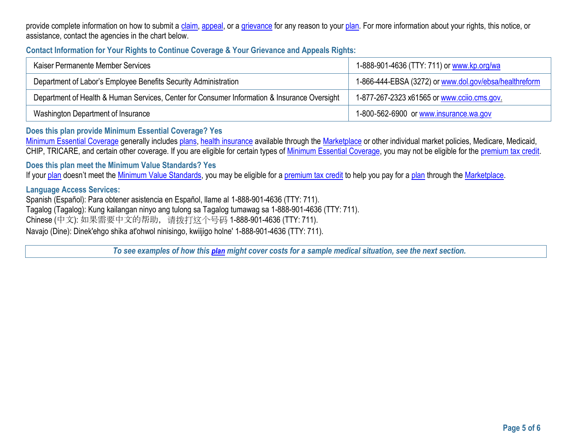provide complete information on how to submit a [claim,](https://www.healthcare.gov/sbc-glossary/#claim) [appeal,](https://www.healthcare.gov/sbc-glossary/#appeal) or a [grievance](https://www.healthcare.gov/sbc-glossary/#grievance) for any reason to your [plan.](https://www.healthcare.gov/sbc-glossary/#plan) For more information about your rights, this notice, or assistance, contact the agencies in the chart below.

## **Contact Information for Your Rights to Continue Coverage & Your Grievance and Appeals Rights:**

| Kaiser Permanente Member Services                                                            | 1-888-901-4636 (TTY: 711) or www.kp.org/wa             |
|----------------------------------------------------------------------------------------------|--------------------------------------------------------|
| Department of Labor's Employee Benefits Security Administration                              | 1-866-444-EBSA (3272) or www.dol.gov/ebsa/healthreform |
| Department of Health & Human Services, Center for Consumer Information & Insurance Oversight | 1-877-267-2323 x61565 or www.ccijo.cms.gov             |
| Washington Department of Insurance                                                           | 1-800-562-6900 or www.insurance.wa.gov                 |

#### **Does this plan provide Minimum Essential Coverage? Yes**

[Minimum Essential Coverage](https://www.healthcare.gov/sbc-glossary/#minimum-essential-coverage) generally includes [plans,](https://www.healthcare.gov/sbc-glossary/#plan) [health insurance](https://www.healthcare.gov/sbc-glossary/#health-insurance) available through the [Marketplace](https://www.healthcare.gov/sbc-glossary/#marketplace) or other individual market policies, Medicare, Medicaid, CHIP, TRICARE, and certain other coverage. If you are eligible for certain types of [Minimum Essential Coverage,](https://www.healthcare.gov/sbc-glossary/#minimum-essential-coverage) you may not be eligible for the [premium tax credit.](https://www.healthcare.gov/sbc-glossary/#premium-tax-credits)

**Does this plan meet the Minimum Value Standards? Yes** 

If your [plan](https://www.healthcare.gov/sbc-glossary/#plan) doesn't meet the [Minimum Value Standards,](https://www.healthcare.gov/sbc-glossary/#minimum-value-standard) you may be eligible for a [premium tax credit](https://www.healthcare.gov/sbc-glossary/#premium-tax-credits) to help you pay for a plan through the [Marketplace.](https://www.healthcare.gov/sbc-glossary/#marketplace)

#### **Language Access Services:**

Spanish (Español): Para obtener asistencia en Español, llame al 1-888-901-4636 (TTY: 711). Tagalog (Tagalog): Kung kailangan ninyo ang tulong sa Tagalog tumawag sa 1-888-901-4636 (TTY: 711). Chinese (中文): 如果需要中文的帮助,请拨打这个号码 1-888-901-4636 (TTY: 711). Navajo (Dine): Dinek'ehgo shika at'ohwol ninisingo, kwiijigo holne' 1-888-901-4636 (TTY: 711).

*To see examples of how this plan might cover costs for a sample medical situation, see the next section.*